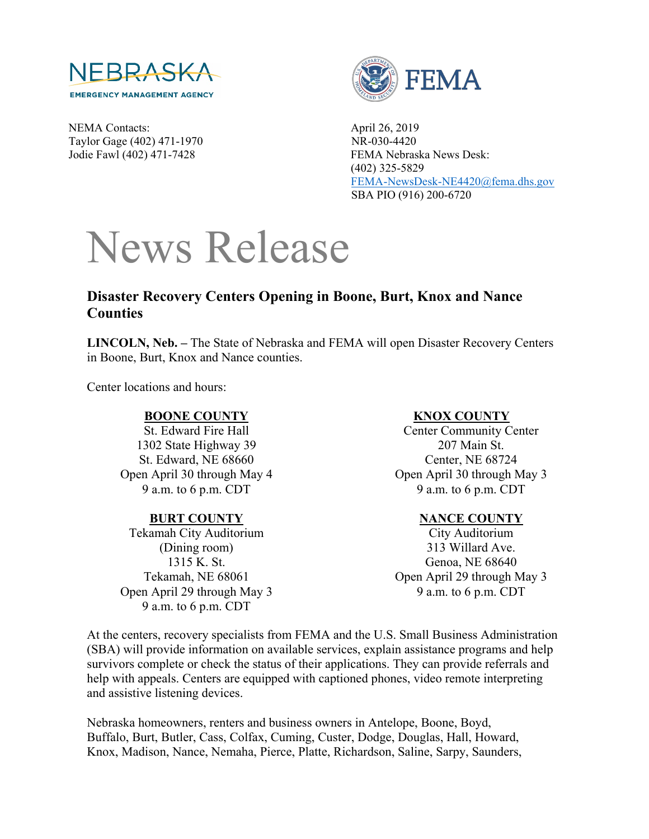

NEMA Contacts: April 26, 2019 Taylor Gage (402) 471-1970 NR-030-4420



Jodie Fawl (402) 471-7428 FEMA Nebraska News Desk: (402) 325-5829 [FEMA-NewsDesk-NE4420@fema.dhs.gov](mailto:FEMA-NewsDesk-NE4420@fema.dhs.gov) SBA PIO (916) 200-6720

# News Release

## **Disaster Recovery Centers Opening in Boone, Burt, Knox and Nance Counties**

**LINCOLN, Neb. –** The State of Nebraska and FEMA will open Disaster Recovery Centers in Boone, Burt, Knox and Nance counties.

Center locations and hours:

#### **BOONE COUNTY**

St. Edward Fire Hall 1302 State Highway 39 St. Edward, NE 68660 Open April 30 through May 4 9 a.m. to 6 p.m. CDT

#### **BURT COUNTY**

Tekamah City Auditorium (Dining room) 1315 K. St. Tekamah, NE 68061 Open April 29 through May 3 9 a.m. to 6 p.m. CDT

#### **KNOX COUNTY**

Center Community Center 207 Main St. Center, NE 68724 Open April 30 through May 3 9 a.m. to 6 p.m. CDT

#### **NANCE COUNTY**

City Auditorium 313 Willard Ave. Genoa, NE 68640 Open April 29 through May 3 9 a.m. to 6 p.m. CDT

At the centers, recovery specialists from FEMA and the U.S. Small Business Administration (SBA) will provide information on available services, explain assistance programs and help survivors complete or check the status of their applications. They can provide referrals and help with appeals. Centers are equipped with captioned phones, video remote interpreting and assistive listening devices.

Nebraska homeowners, renters and business owners in Antelope, Boone, Boyd, Buffalo, Burt, Butler, Cass, Colfax, Cuming, Custer, Dodge, Douglas, Hall, Howard, Knox, Madison, Nance, Nemaha, Pierce, Platte, Richardson, Saline, Sarpy, Saunders,